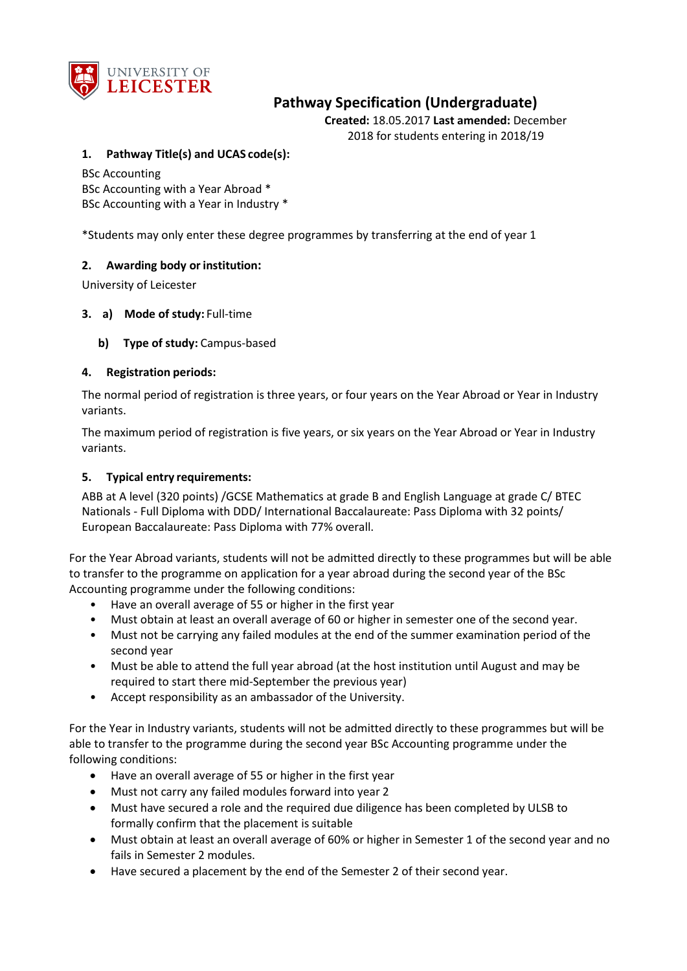

# **Pathway Specification (Undergraduate)**

**Created:** 18.05.2017 **Last amended:** December 2018 for students entering in 2018/19

#### **1. Pathway Title(s) and UCAS code(s):**

BSc Accounting BSc Accounting with a Year Abroad \* BSc Accounting with a Year in Industry \*

\*Students may only enter these degree programmes by transferring at the end of year 1

#### **2. Awarding body or institution:**

University of Leicester

#### **3. a) Mode of study:** Full-time

**b) Type of study:** Campus-based

#### **4. Registration periods:**

The normal period of registration is three years, or four years on the Year Abroad or Year in Industry variants.

The maximum period of registration is five years, or six years on the Year Abroad or Year in Industry variants.

#### **5. Typical entry requirements:**

ABB at A level (320 points) /GCSE Mathematics at grade B and English Language at grade C/ BTEC Nationals - Full Diploma with DDD/ International Baccalaureate: Pass Diploma with 32 points/ European Baccalaureate: Pass Diploma with 77% overall.

For the Year Abroad variants, students will not be admitted directly to these programmes but will be able to transfer to the programme on application for a year abroad during the second year of the BSc Accounting programme under the following conditions:

- Have an overall average of 55 or higher in the first year
- Must obtain at least an overall average of 60 or higher in semester one of the second year.
- Must not be carrying any failed modules at the end of the summer examination period of the second year
- Must be able to attend the full year abroad (at the host institution until August and may be required to start there mid-September the previous year)
- Accept responsibility as an ambassador of the University.

For the Year in Industry variants, students will not be admitted directly to these programmes but will be able to transfer to the programme during the second year BSc Accounting programme under the following conditions:

- Have an overall average of 55 or higher in the first year
- Must not carry any failed modules forward into year 2
- Must have secured a role and the required due diligence has been completed by ULSB to formally confirm that the placement is suitable
- Must obtain at least an overall average of 60% or higher in Semester 1 of the second year and no fails in Semester 2 modules.
- Have secured a placement by the end of the Semester 2 of their second year.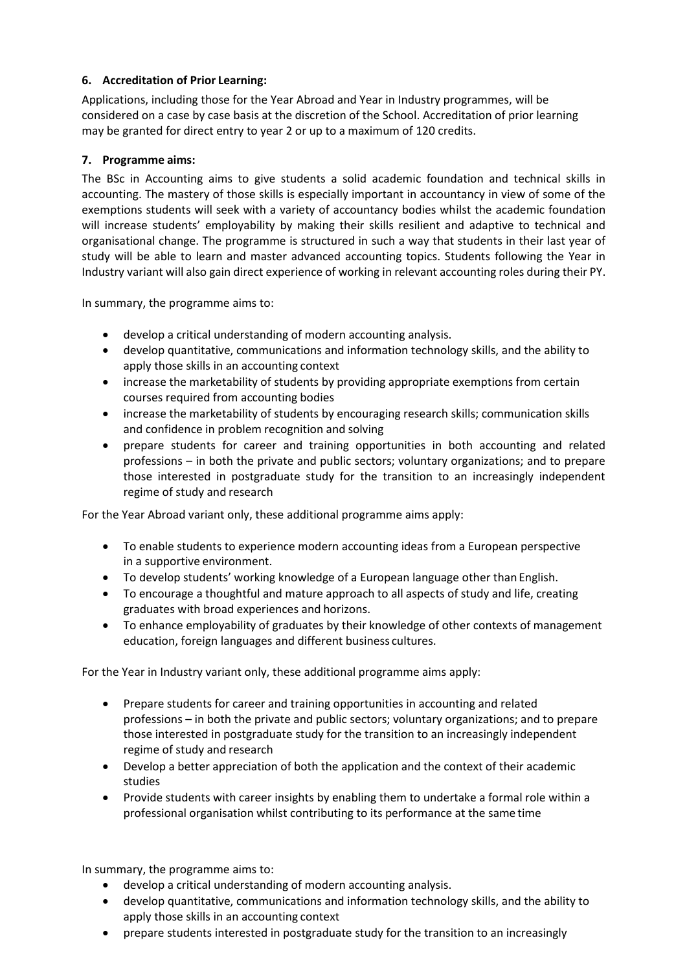### **6. Accreditation of Prior Learning:**

Applications, including those for the Year Abroad and Year in Industry programmes, will be considered on a case by case basis at the discretion of the School. Accreditation of prior learning may be granted for direct entry to year 2 or up to a maximum of 120 credits.

### **7. Programme aims:**

The BSc in Accounting aims to give students a solid academic foundation and technical skills in accounting. The mastery of those skills is especially important in accountancy in view of some of the exemptions students will seek with a variety of accountancy bodies whilst the academic foundation will increase students' employability by making their skills resilient and adaptive to technical and organisational change. The programme is structured in such a way that students in their last year of study will be able to learn and master advanced accounting topics. Students following the Year in Industry variant will also gain direct experience of working in relevant accounting roles during their PY.

In summary, the programme aims to:

- develop a critical understanding of modern accounting analysis.
- develop quantitative, communications and information technology skills, and the ability to apply those skills in an accounting context
- increase the marketability of students by providing appropriate exemptions from certain courses required from accounting bodies
- increase the marketability of students by encouraging research skills; communication skills and confidence in problem recognition and solving
- prepare students for career and training opportunities in both accounting and related professions – in both the private and public sectors; voluntary organizations; and to prepare those interested in postgraduate study for the transition to an increasingly independent regime of study and research

For the Year Abroad variant only, these additional programme aims apply:

- To enable students to experience modern accounting ideas from a European perspective in a supportive environment.
- To develop students' working knowledge of a European language other than English.
- To encourage a thoughtful and mature approach to all aspects of study and life, creating graduates with broad experiences and horizons.
- To enhance employability of graduates by their knowledge of other contexts of management education, foreign languages and different business cultures.

For the Year in Industry variant only, these additional programme aims apply:

- Prepare students for career and training opportunities in accounting and related professions – in both the private and public sectors; voluntary organizations; and to prepare those interested in postgraduate study for the transition to an increasingly independent regime of study and research
- Develop a better appreciation of both the application and the context of their academic studies
- Provide students with career insights by enabling them to undertake a formal role within a professional organisation whilst contributing to its performance at the same time

In summary, the programme aims to:

- develop a critical understanding of modern accounting analysis.
- develop quantitative, communications and information technology skills, and the ability to apply those skills in an accounting context
- prepare students interested in postgraduate study for the transition to an increasingly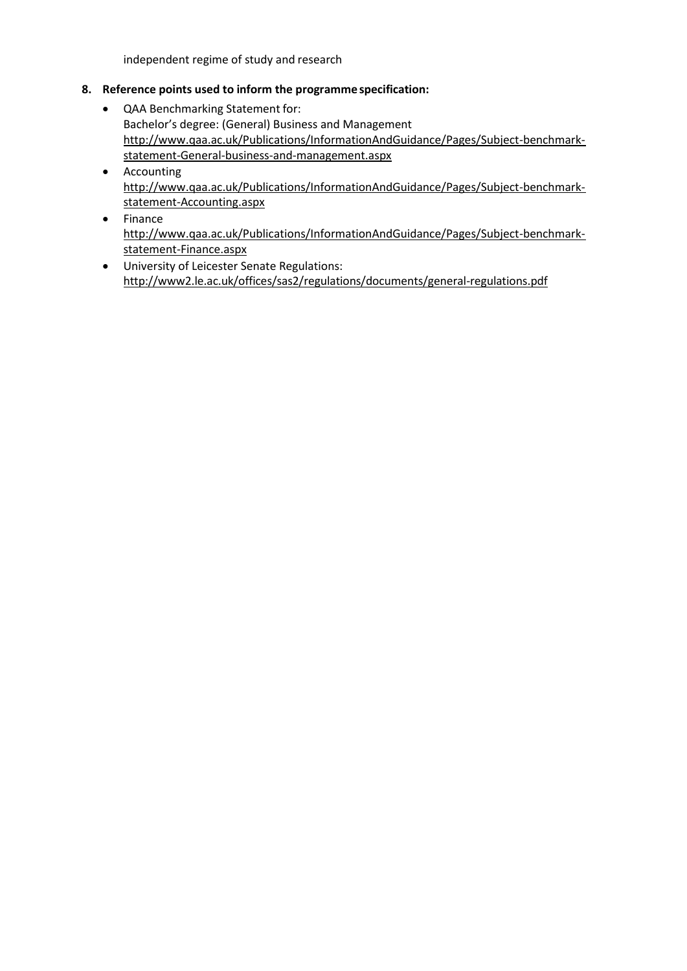independent regime of study and research

### **8. Reference points used to inform the programme specification:**

- QAA Benchmarking Statement for: Bachelor's degree: (General) Business and Management [http://www.qaa.ac.uk/Publications/InformationAndGuidance/Pages/Subject-benchmark](http://www.qaa.ac.uk/Publications/InformationAndGuidance/Pages/Subject-benchmark-statement-General-business-and-management.aspx)[statement-General-business-and-management.aspx](http://www.qaa.ac.uk/Publications/InformationAndGuidance/Pages/Subject-benchmark-statement-General-business-and-management.aspx)
- Accounting [http://www.qaa.ac.uk/Publications/InformationAndGuidance/Pages/Subject-benchmark](http://www.qaa.ac.uk/Publications/InformationAndGuidance/Pages/Subject-benchmark-statement-Accounting.aspx)[statement-Accounting.aspx](http://www.qaa.ac.uk/Publications/InformationAndGuidance/Pages/Subject-benchmark-statement-Accounting.aspx)
- Finance [http://www.qaa.ac.uk/Publications/InformationAndGuidance/Pages/Subject-benchmark](http://www.qaa.ac.uk/Publications/InformationAndGuidance/Pages/Subject-benchmark-statement-Finance.aspx)[statement-Finance.aspx](http://www.qaa.ac.uk/Publications/InformationAndGuidance/Pages/Subject-benchmark-statement-Finance.aspx)
- University of Leicester Senate Regulations: <http://www2.le.ac.uk/offices/sas2/regulations/documents/general-regulations.pdf>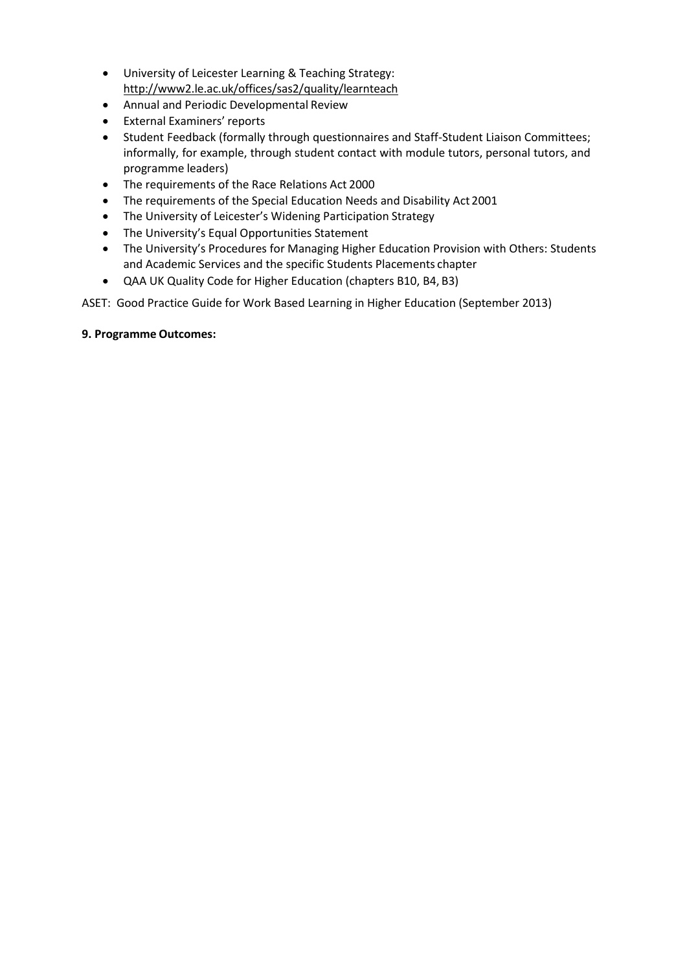- University of Leicester Learning & Teaching Strategy: <http://www2.le.ac.uk/offices/sas2/quality/learnteach>
- Annual and Periodic Developmental Review
- External Examiners' reports
- Student Feedback (formally through questionnaires and Staff-Student Liaison Committees; informally, for example, through student contact with module tutors, personal tutors, and programme leaders)
- The requirements of the Race Relations Act 2000
- The requirements of the Special Education Needs and Disability Act 2001
- The University of Leicester's Widening Participation Strategy
- The University's Equal Opportunities Statement
- The University's Procedures for Managing Higher Education Provision with Others: Students and Academic Services and the specific Students Placements chapter
- QAA UK Quality Code for Higher Education (chapters B10, B4, B3)

ASET: Good Practice Guide for Work Based Learning in Higher Education (September 2013)

#### **9. Programme Outcomes:**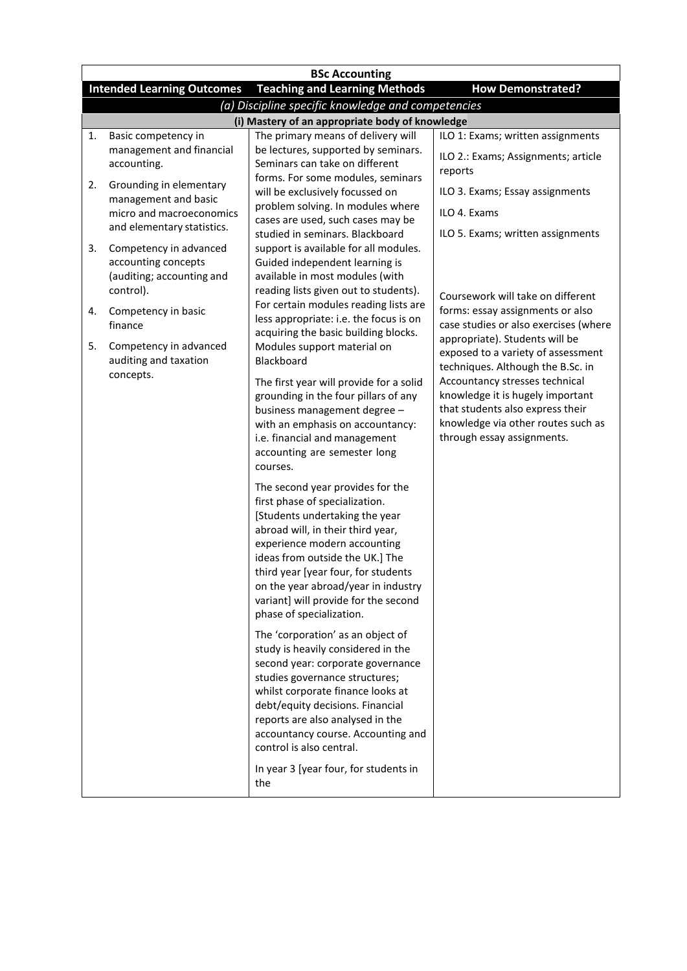|    | <b>BSc Accounting</b>                                                                                 |                                                                                |                                                                         |  |  |  |
|----|-------------------------------------------------------------------------------------------------------|--------------------------------------------------------------------------------|-------------------------------------------------------------------------|--|--|--|
|    | <b>Teaching and Learning Methods</b><br><b>Intended Learning Outcomes</b><br><b>How Demonstrated?</b> |                                                                                |                                                                         |  |  |  |
|    | (a) Discipline specific knowledge and competencies                                                    |                                                                                |                                                                         |  |  |  |
|    | (i) Mastery of an appropriate body of knowledge                                                       |                                                                                |                                                                         |  |  |  |
| 1. | Basic competency in<br>management and financial                                                       | The primary means of delivery will<br>be lectures, supported by seminars.      | ILO 1: Exams; written assignments                                       |  |  |  |
|    | accounting.                                                                                           | Seminars can take on different                                                 | ILO 2.: Exams; Assignments; article                                     |  |  |  |
|    |                                                                                                       | forms. For some modules, seminars                                              | reports                                                                 |  |  |  |
| 2. | Grounding in elementary<br>management and basic                                                       | will be exclusively focussed on                                                | ILO 3. Exams; Essay assignments                                         |  |  |  |
|    | micro and macroeconomics                                                                              | problem solving. In modules where                                              | ILO 4. Exams                                                            |  |  |  |
|    | and elementary statistics.                                                                            | cases are used, such cases may be                                              |                                                                         |  |  |  |
| 3. | Competency in advanced                                                                                | studied in seminars. Blackboard<br>support is available for all modules.       | ILO 5. Exams; written assignments                                       |  |  |  |
|    | accounting concepts                                                                                   | Guided independent learning is                                                 |                                                                         |  |  |  |
|    | (auditing; accounting and                                                                             | available in most modules (with                                                |                                                                         |  |  |  |
|    | control).                                                                                             | reading lists given out to students).                                          | Coursework will take on different                                       |  |  |  |
| 4. | Competency in basic                                                                                   | For certain modules reading lists are                                          | forms: essay assignments or also                                        |  |  |  |
|    | finance                                                                                               | less appropriate: i.e. the focus is on<br>acquiring the basic building blocks. | case studies or also exercises (where                                   |  |  |  |
| 5. | Competency in advanced                                                                                | Modules support material on                                                    | appropriate). Students will be                                          |  |  |  |
|    | auditing and taxation                                                                                 | Blackboard                                                                     | exposed to a variety of assessment<br>techniques. Although the B.Sc. in |  |  |  |
|    | concepts.                                                                                             | The first year will provide for a solid                                        | Accountancy stresses technical                                          |  |  |  |
|    |                                                                                                       | grounding in the four pillars of any                                           | knowledge it is hugely important                                        |  |  |  |
|    |                                                                                                       | business management degree -                                                   | that students also express their                                        |  |  |  |
|    |                                                                                                       | with an emphasis on accountancy:                                               | knowledge via other routes such as                                      |  |  |  |
|    |                                                                                                       | i.e. financial and management<br>accounting are semester long                  | through essay assignments.                                              |  |  |  |
|    |                                                                                                       | courses.                                                                       |                                                                         |  |  |  |
|    |                                                                                                       |                                                                                |                                                                         |  |  |  |
|    |                                                                                                       | The second year provides for the<br>first phase of specialization.             |                                                                         |  |  |  |
|    |                                                                                                       | [Students undertaking the year                                                 |                                                                         |  |  |  |
|    |                                                                                                       | abroad will, in their third year,                                              |                                                                         |  |  |  |
|    |                                                                                                       | experience modern accounting                                                   |                                                                         |  |  |  |
|    |                                                                                                       | ideas from outside the UK.] The                                                |                                                                         |  |  |  |
|    |                                                                                                       | third year [year four, for students<br>on the year abroad/year in industry     |                                                                         |  |  |  |
|    |                                                                                                       | variant] will provide for the second                                           |                                                                         |  |  |  |
|    |                                                                                                       | phase of specialization.                                                       |                                                                         |  |  |  |
|    |                                                                                                       | The 'corporation' as an object of                                              |                                                                         |  |  |  |
|    |                                                                                                       | study is heavily considered in the                                             |                                                                         |  |  |  |
|    |                                                                                                       | second year: corporate governance                                              |                                                                         |  |  |  |
|    |                                                                                                       | studies governance structures;                                                 |                                                                         |  |  |  |
|    |                                                                                                       | whilst corporate finance looks at<br>debt/equity decisions. Financial          |                                                                         |  |  |  |
|    |                                                                                                       | reports are also analysed in the                                               |                                                                         |  |  |  |
|    |                                                                                                       | accountancy course. Accounting and                                             |                                                                         |  |  |  |
|    |                                                                                                       | control is also central.                                                       |                                                                         |  |  |  |
|    |                                                                                                       | In year 3 [year four, for students in                                          |                                                                         |  |  |  |
|    |                                                                                                       | the                                                                            |                                                                         |  |  |  |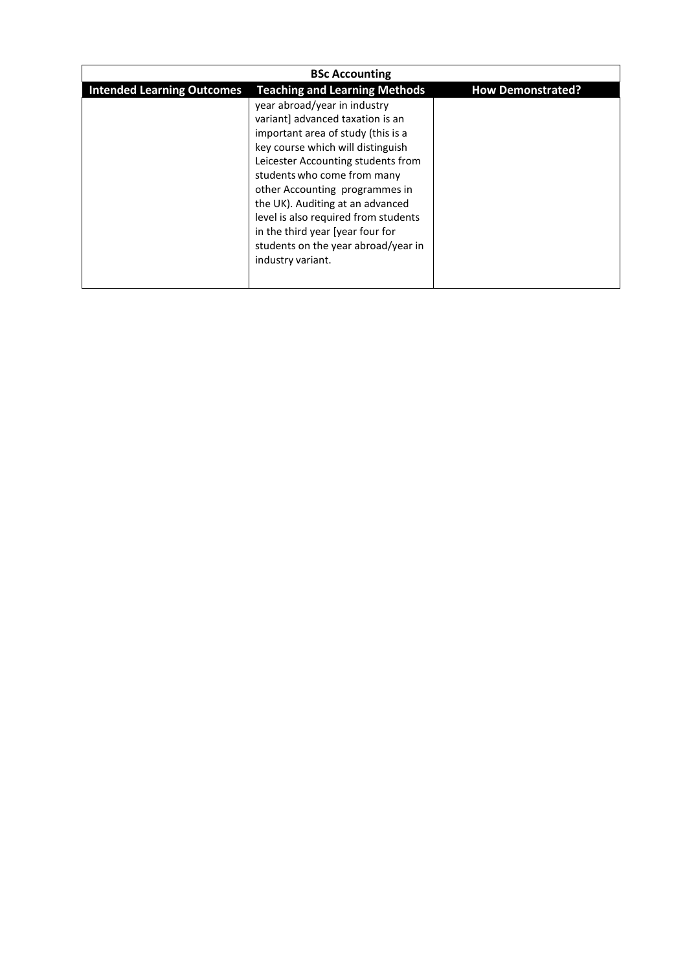| <b>BSc Accounting</b>             |                                                                                                                                                                                                                                                                                                                                                                                                                                |                          |  |
|-----------------------------------|--------------------------------------------------------------------------------------------------------------------------------------------------------------------------------------------------------------------------------------------------------------------------------------------------------------------------------------------------------------------------------------------------------------------------------|--------------------------|--|
| <b>Intended Learning Outcomes</b> | <b>Teaching and Learning Methods</b>                                                                                                                                                                                                                                                                                                                                                                                           | <b>How Demonstrated?</b> |  |
|                                   | year abroad/year in industry<br>variant] advanced taxation is an<br>important area of study (this is a<br>key course which will distinguish<br>Leicester Accounting students from<br>students who come from many<br>other Accounting programmes in<br>the UK). Auditing at an advanced<br>level is also required from students<br>in the third year [year four for<br>students on the year abroad/year in<br>industry variant. |                          |  |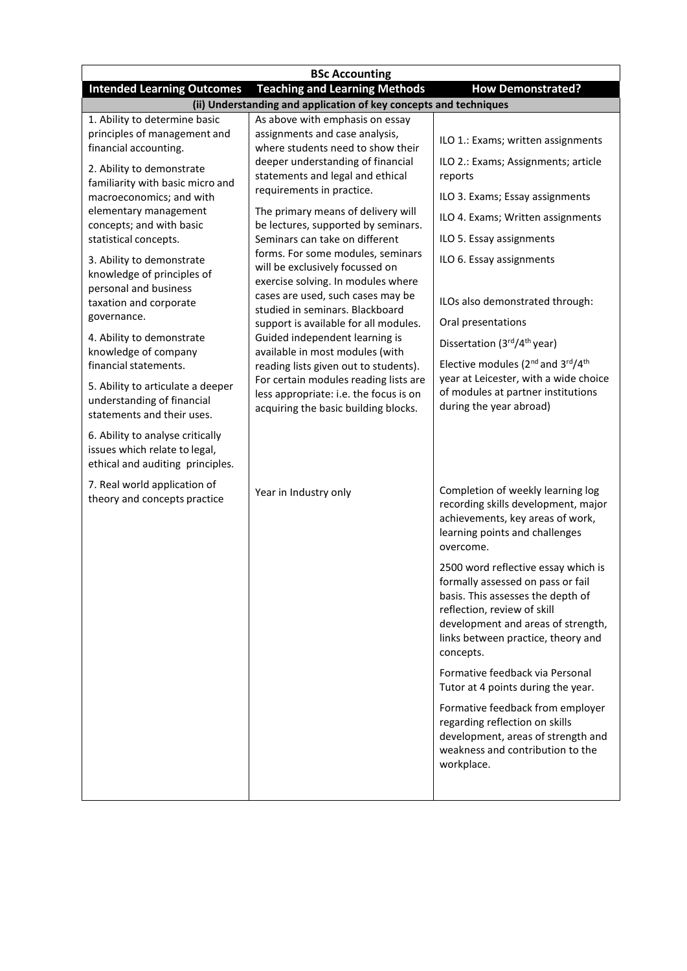| <b>BSc Accounting</b>                                                                                                  |                                                                                                                                                                                                                                                                                           |                                                                                                                                                                                                                                       |  |  |
|------------------------------------------------------------------------------------------------------------------------|-------------------------------------------------------------------------------------------------------------------------------------------------------------------------------------------------------------------------------------------------------------------------------------------|---------------------------------------------------------------------------------------------------------------------------------------------------------------------------------------------------------------------------------------|--|--|
| <b>Intended Learning Outcomes</b>                                                                                      | <b>Teaching and Learning Methods</b>                                                                                                                                                                                                                                                      | <b>How Demonstrated?</b>                                                                                                                                                                                                              |  |  |
|                                                                                                                        | (ii) Understanding and application of key concepts and techniques                                                                                                                                                                                                                         |                                                                                                                                                                                                                                       |  |  |
| 1. Ability to determine basic<br>principles of management and<br>financial accounting.                                 | As above with emphasis on essay<br>assignments and case analysis,<br>where students need to show their<br>deeper understanding of financial<br>statements and legal and ethical<br>requirements in practice.<br>The primary means of delivery will<br>be lectures, supported by seminars. | ILO 1.: Exams; written assignments                                                                                                                                                                                                    |  |  |
| 2. Ability to demonstrate<br>familiarity with basic micro and                                                          |                                                                                                                                                                                                                                                                                           | ILO 2.: Exams; Assignments; article<br>reports                                                                                                                                                                                        |  |  |
| macroeconomics; and with                                                                                               |                                                                                                                                                                                                                                                                                           | ILO 3. Exams; Essay assignments                                                                                                                                                                                                       |  |  |
| elementary management<br>concepts; and with basic                                                                      |                                                                                                                                                                                                                                                                                           | ILO 4. Exams; Written assignments                                                                                                                                                                                                     |  |  |
| statistical concepts.                                                                                                  | Seminars can take on different                                                                                                                                                                                                                                                            | ILO 5. Essay assignments                                                                                                                                                                                                              |  |  |
| 3. Ability to demonstrate<br>knowledge of principles of<br>personal and business                                       | forms. For some modules, seminars<br>will be exclusively focussed on<br>exercise solving. In modules where                                                                                                                                                                                | ILO 6. Essay assignments                                                                                                                                                                                                              |  |  |
| taxation and corporate                                                                                                 | cases are used, such cases may be<br>studied in seminars. Blackboard                                                                                                                                                                                                                      | ILOs also demonstrated through:                                                                                                                                                                                                       |  |  |
| governance.                                                                                                            | support is available for all modules.                                                                                                                                                                                                                                                     | Oral presentations                                                                                                                                                                                                                    |  |  |
| 4. Ability to demonstrate<br>knowledge of company                                                                      | Guided independent learning is<br>available in most modules (with                                                                                                                                                                                                                         | Dissertation (3rd/4 <sup>th</sup> year)                                                                                                                                                                                               |  |  |
| financial statements.<br>5. Ability to articulate a deeper<br>understanding of financial<br>statements and their uses. | reading lists given out to students).<br>For certain modules reading lists are<br>less appropriate: i.e. the focus is on<br>acquiring the basic building blocks.                                                                                                                          | Elective modules (2 <sup>nd</sup> and 3 <sup>rd</sup> /4 <sup>th</sup><br>year at Leicester, with a wide choice<br>of modules at partner institutions<br>during the year abroad)                                                      |  |  |
| 6. Ability to analyse critically<br>issues which relate to legal,<br>ethical and auditing principles.                  |                                                                                                                                                                                                                                                                                           |                                                                                                                                                                                                                                       |  |  |
| 7. Real world application of<br>theory and concepts practice                                                           | Year in Industry only                                                                                                                                                                                                                                                                     | Completion of weekly learning log<br>recording skills development, major<br>achievements, key areas of work,<br>learning points and challenges<br>overcome.                                                                           |  |  |
|                                                                                                                        |                                                                                                                                                                                                                                                                                           | 2500 word reflective essay which is<br>formally assessed on pass or fail<br>basis. This assesses the depth of<br>reflection, review of skill<br>development and areas of strength,<br>links between practice, theory and<br>concepts. |  |  |
|                                                                                                                        |                                                                                                                                                                                                                                                                                           | Formative feedback via Personal<br>Tutor at 4 points during the year.                                                                                                                                                                 |  |  |
|                                                                                                                        |                                                                                                                                                                                                                                                                                           | Formative feedback from employer<br>regarding reflection on skills<br>development, areas of strength and<br>weakness and contribution to the<br>workplace.                                                                            |  |  |
|                                                                                                                        |                                                                                                                                                                                                                                                                                           |                                                                                                                                                                                                                                       |  |  |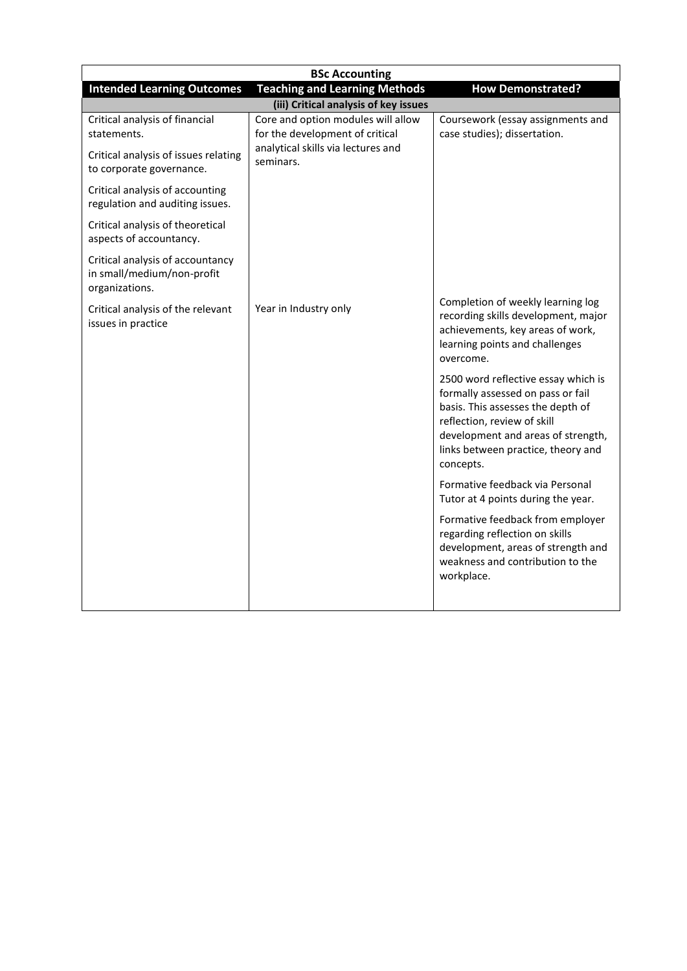| <b>BSc Accounting</b>                                                                                 |                                                                       |                                                                                                                                                                                                                                       |  |  |  |
|-------------------------------------------------------------------------------------------------------|-----------------------------------------------------------------------|---------------------------------------------------------------------------------------------------------------------------------------------------------------------------------------------------------------------------------------|--|--|--|
| <b>Teaching and Learning Methods</b><br><b>Intended Learning Outcomes</b><br><b>How Demonstrated?</b> |                                                                       |                                                                                                                                                                                                                                       |  |  |  |
| (iii) Critical analysis of key issues                                                                 |                                                                       |                                                                                                                                                                                                                                       |  |  |  |
| Critical analysis of financial<br>statements.                                                         | Core and option modules will allow<br>for the development of critical | Coursework (essay assignments and<br>case studies); dissertation.                                                                                                                                                                     |  |  |  |
| Critical analysis of issues relating<br>to corporate governance.                                      | analytical skills via lectures and<br>seminars.                       |                                                                                                                                                                                                                                       |  |  |  |
| Critical analysis of accounting<br>regulation and auditing issues.                                    |                                                                       |                                                                                                                                                                                                                                       |  |  |  |
| Critical analysis of theoretical<br>aspects of accountancy.                                           |                                                                       |                                                                                                                                                                                                                                       |  |  |  |
| Critical analysis of accountancy<br>in small/medium/non-profit<br>organizations.                      |                                                                       |                                                                                                                                                                                                                                       |  |  |  |
| Critical analysis of the relevant<br>issues in practice                                               | Year in Industry only                                                 | Completion of weekly learning log<br>recording skills development, major<br>achievements, key areas of work,<br>learning points and challenges<br>overcome.                                                                           |  |  |  |
|                                                                                                       |                                                                       | 2500 word reflective essay which is<br>formally assessed on pass or fail<br>basis. This assesses the depth of<br>reflection, review of skill<br>development and areas of strength,<br>links between practice, theory and<br>concepts. |  |  |  |
|                                                                                                       |                                                                       | Formative feedback via Personal<br>Tutor at 4 points during the year.                                                                                                                                                                 |  |  |  |
|                                                                                                       |                                                                       | Formative feedback from employer<br>regarding reflection on skills<br>development, areas of strength and<br>weakness and contribution to the<br>workplace.                                                                            |  |  |  |
|                                                                                                       |                                                                       |                                                                                                                                                                                                                                       |  |  |  |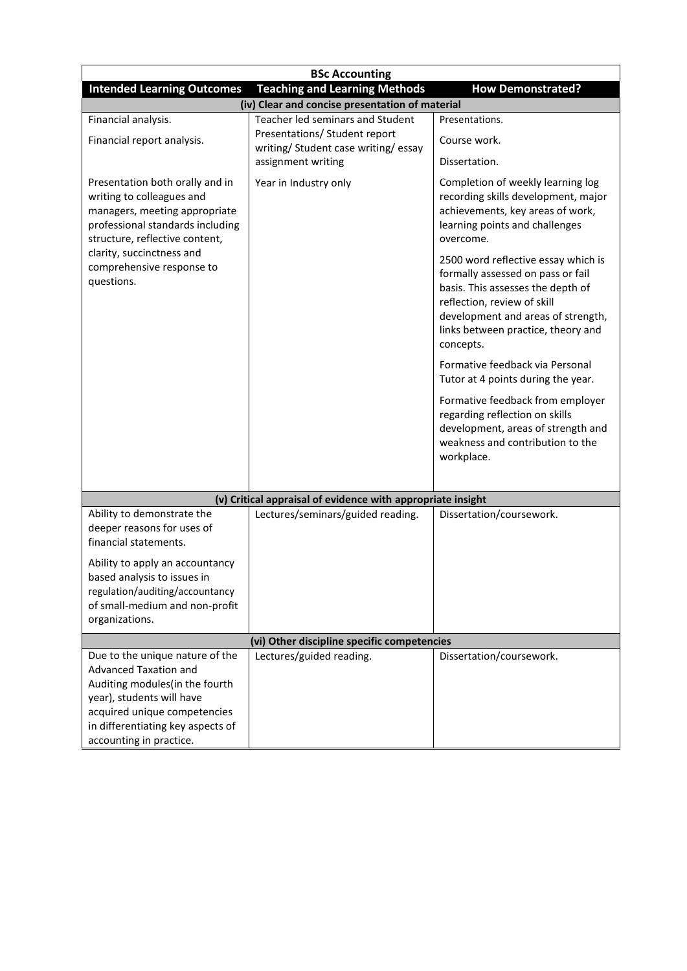| <b>BSc Accounting</b>                                                                                                                                                                               |                                                                       |                                                                                                                                                                                                                                       |  |  |
|-----------------------------------------------------------------------------------------------------------------------------------------------------------------------------------------------------|-----------------------------------------------------------------------|---------------------------------------------------------------------------------------------------------------------------------------------------------------------------------------------------------------------------------------|--|--|
| <b>Intended Learning Outcomes</b>                                                                                                                                                                   | <b>Teaching and Learning Methods</b>                                  | <b>How Demonstrated?</b>                                                                                                                                                                                                              |  |  |
|                                                                                                                                                                                                     | (iv) Clear and concise presentation of material                       |                                                                                                                                                                                                                                       |  |  |
| Financial analysis.                                                                                                                                                                                 | Teacher led seminars and Student                                      | Presentations.                                                                                                                                                                                                                        |  |  |
| Financial report analysis.                                                                                                                                                                          | Presentations/ Student report<br>writing/ Student case writing/ essay | Course work.                                                                                                                                                                                                                          |  |  |
|                                                                                                                                                                                                     | assignment writing                                                    | Dissertation.                                                                                                                                                                                                                         |  |  |
| Presentation both orally and in<br>writing to colleagues and<br>managers, meeting appropriate<br>professional standards including<br>structure, reflective content,                                 | Year in Industry only                                                 | Completion of weekly learning log<br>recording skills development, major<br>achievements, key areas of work,<br>learning points and challenges<br>overcome.                                                                           |  |  |
| clarity, succinctness and<br>comprehensive response to<br>questions.                                                                                                                                |                                                                       | 2500 word reflective essay which is<br>formally assessed on pass or fail<br>basis. This assesses the depth of<br>reflection, review of skill<br>development and areas of strength,<br>links between practice, theory and<br>concepts. |  |  |
|                                                                                                                                                                                                     |                                                                       | Formative feedback via Personal<br>Tutor at 4 points during the year.                                                                                                                                                                 |  |  |
|                                                                                                                                                                                                     |                                                                       | Formative feedback from employer<br>regarding reflection on skills<br>development, areas of strength and<br>weakness and contribution to the<br>workplace.                                                                            |  |  |
|                                                                                                                                                                                                     |                                                                       |                                                                                                                                                                                                                                       |  |  |
|                                                                                                                                                                                                     | (v) Critical appraisal of evidence with appropriate insight           |                                                                                                                                                                                                                                       |  |  |
| Ability to demonstrate the<br>deeper reasons for uses of<br>financial statements.                                                                                                                   | Lectures/seminars/guided reading.                                     | Dissertation/coursework.                                                                                                                                                                                                              |  |  |
| Ability to apply an accountancy<br>based analysis to issues in<br>regulation/auditing/accountancy<br>of small-medium and non-profit<br>organizations.                                               |                                                                       |                                                                                                                                                                                                                                       |  |  |
| (vi) Other discipline specific competencies                                                                                                                                                         |                                                                       |                                                                                                                                                                                                                                       |  |  |
| Due to the unique nature of the<br><b>Advanced Taxation and</b><br>Auditing modules(in the fourth<br>year), students will have<br>acquired unique competencies<br>in differentiating key aspects of | Lectures/guided reading.                                              | Dissertation/coursework.                                                                                                                                                                                                              |  |  |
| accounting in practice.                                                                                                                                                                             |                                                                       |                                                                                                                                                                                                                                       |  |  |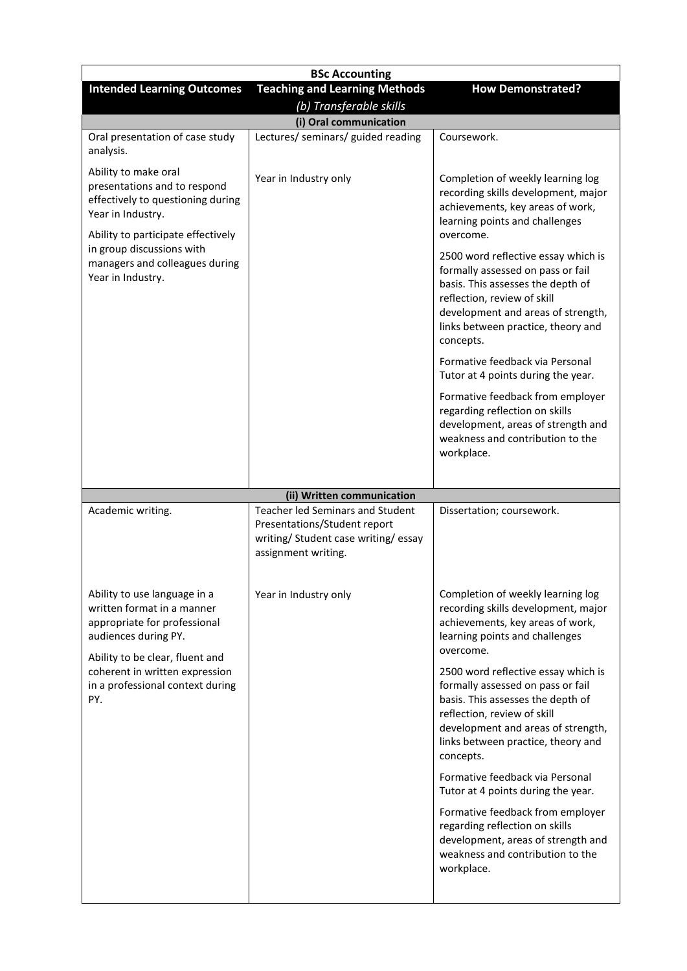| <b>BSc Accounting</b>                                                                                                                                                                                                                    |                                                                                                                                 |                                                                                                                                                                                                                                                                                                                                                                                                                                                                                                                                                                                                                               |  |  |  |
|------------------------------------------------------------------------------------------------------------------------------------------------------------------------------------------------------------------------------------------|---------------------------------------------------------------------------------------------------------------------------------|-------------------------------------------------------------------------------------------------------------------------------------------------------------------------------------------------------------------------------------------------------------------------------------------------------------------------------------------------------------------------------------------------------------------------------------------------------------------------------------------------------------------------------------------------------------------------------------------------------------------------------|--|--|--|
| <b>Intended Learning Outcomes</b>                                                                                                                                                                                                        | <b>Teaching and Learning Methods</b><br>(b) Transferable skills                                                                 | <b>How Demonstrated?</b>                                                                                                                                                                                                                                                                                                                                                                                                                                                                                                                                                                                                      |  |  |  |
| (i) Oral communication                                                                                                                                                                                                                   |                                                                                                                                 |                                                                                                                                                                                                                                                                                                                                                                                                                                                                                                                                                                                                                               |  |  |  |
| Oral presentation of case study<br>analysis.                                                                                                                                                                                             | Lectures/ seminars/ guided reading                                                                                              | Coursework.                                                                                                                                                                                                                                                                                                                                                                                                                                                                                                                                                                                                                   |  |  |  |
| Ability to make oral<br>presentations and to respond<br>effectively to questioning during<br>Year in Industry.<br>Ability to participate effectively<br>in group discussions with<br>managers and colleagues during<br>Year in Industry. | Year in Industry only                                                                                                           | Completion of weekly learning log<br>recording skills development, major<br>achievements, key areas of work,<br>learning points and challenges<br>overcome.<br>2500 word reflective essay which is<br>formally assessed on pass or fail<br>basis. This assesses the depth of<br>reflection, review of skill<br>development and areas of strength,<br>links between practice, theory and<br>concepts.<br>Formative feedback via Personal<br>Tutor at 4 points during the year.<br>Formative feedback from employer<br>regarding reflection on skills<br>development, areas of strength and<br>weakness and contribution to the |  |  |  |
|                                                                                                                                                                                                                                          |                                                                                                                                 | workplace.                                                                                                                                                                                                                                                                                                                                                                                                                                                                                                                                                                                                                    |  |  |  |
|                                                                                                                                                                                                                                          | (ii) Written communication                                                                                                      |                                                                                                                                                                                                                                                                                                                                                                                                                                                                                                                                                                                                                               |  |  |  |
| Academic writing.                                                                                                                                                                                                                        | Teacher led Seminars and Student<br>Presentations/Student report<br>writing/ Student case writing/ essay<br>assignment writing. | Dissertation; coursework.                                                                                                                                                                                                                                                                                                                                                                                                                                                                                                                                                                                                     |  |  |  |
| Ability to use language in a<br>written format in a manner<br>appropriate for professional<br>audiences during PY.<br>Ability to be clear, fluent and<br>coherent in written expression<br>in a professional context during<br>PY.       | Year in Industry only                                                                                                           | Completion of weekly learning log<br>recording skills development, major<br>achievements, key areas of work,<br>learning points and challenges<br>overcome.<br>2500 word reflective essay which is<br>formally assessed on pass or fail<br>basis. This assesses the depth of<br>reflection, review of skill<br>development and areas of strength,<br>links between practice, theory and<br>concepts.<br>Formative feedback via Personal                                                                                                                                                                                       |  |  |  |
|                                                                                                                                                                                                                                          |                                                                                                                                 | Tutor at 4 points during the year.<br>Formative feedback from employer<br>regarding reflection on skills<br>development, areas of strength and<br>weakness and contribution to the<br>workplace.                                                                                                                                                                                                                                                                                                                                                                                                                              |  |  |  |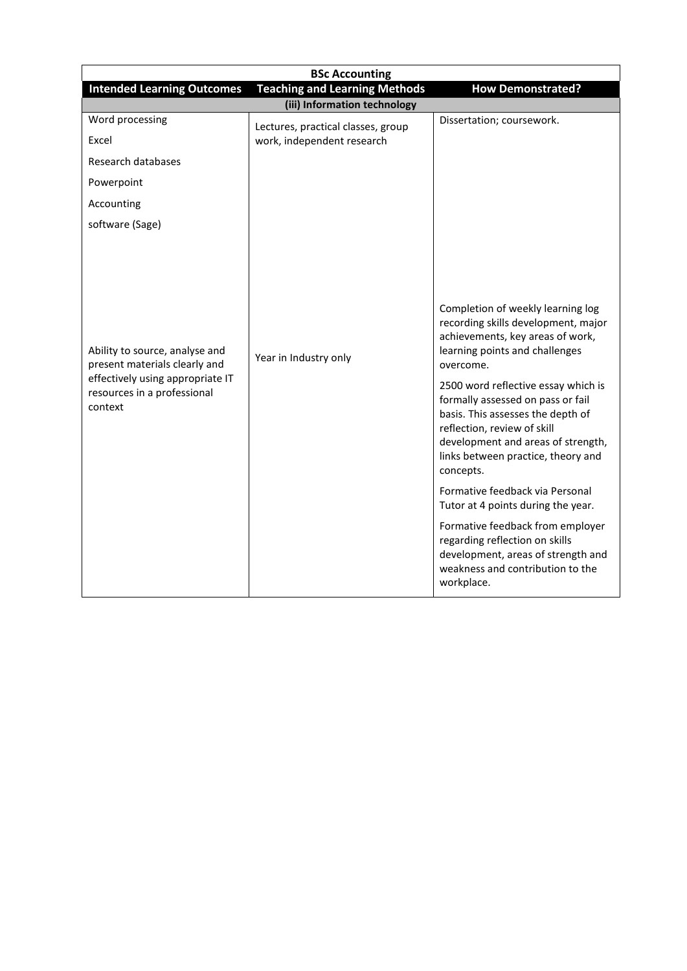| <b>BSc Accounting</b>                                                                                                                         |                                    |                                                                                                                                                                                                                                                                                                                                                                                                                                                                                                                                                                                                                                             |  |  |  |
|-----------------------------------------------------------------------------------------------------------------------------------------------|------------------------------------|---------------------------------------------------------------------------------------------------------------------------------------------------------------------------------------------------------------------------------------------------------------------------------------------------------------------------------------------------------------------------------------------------------------------------------------------------------------------------------------------------------------------------------------------------------------------------------------------------------------------------------------------|--|--|--|
| <b>Teaching and Learning Methods</b><br><b>Intended Learning Outcomes</b><br><b>How Demonstrated?</b>                                         |                                    |                                                                                                                                                                                                                                                                                                                                                                                                                                                                                                                                                                                                                                             |  |  |  |
|                                                                                                                                               | (iii) Information technology       |                                                                                                                                                                                                                                                                                                                                                                                                                                                                                                                                                                                                                                             |  |  |  |
| Word processing                                                                                                                               | Lectures, practical classes, group | Dissertation; coursework.                                                                                                                                                                                                                                                                                                                                                                                                                                                                                                                                                                                                                   |  |  |  |
| Excel                                                                                                                                         | work, independent research         |                                                                                                                                                                                                                                                                                                                                                                                                                                                                                                                                                                                                                                             |  |  |  |
| Research databases                                                                                                                            |                                    |                                                                                                                                                                                                                                                                                                                                                                                                                                                                                                                                                                                                                                             |  |  |  |
| Powerpoint                                                                                                                                    |                                    |                                                                                                                                                                                                                                                                                                                                                                                                                                                                                                                                                                                                                                             |  |  |  |
| Accounting                                                                                                                                    |                                    |                                                                                                                                                                                                                                                                                                                                                                                                                                                                                                                                                                                                                                             |  |  |  |
| software (Sage)                                                                                                                               |                                    |                                                                                                                                                                                                                                                                                                                                                                                                                                                                                                                                                                                                                                             |  |  |  |
| Ability to source, analyse and<br>present materials clearly and<br>effectively using appropriate IT<br>resources in a professional<br>context | Year in Industry only              | Completion of weekly learning log<br>recording skills development, major<br>achievements, key areas of work,<br>learning points and challenges<br>overcome.<br>2500 word reflective essay which is<br>formally assessed on pass or fail<br>basis. This assesses the depth of<br>reflection, review of skill<br>development and areas of strength,<br>links between practice, theory and<br>concepts.<br>Formative feedback via Personal<br>Tutor at 4 points during the year.<br>Formative feedback from employer<br>regarding reflection on skills<br>development, areas of strength and<br>weakness and contribution to the<br>workplace. |  |  |  |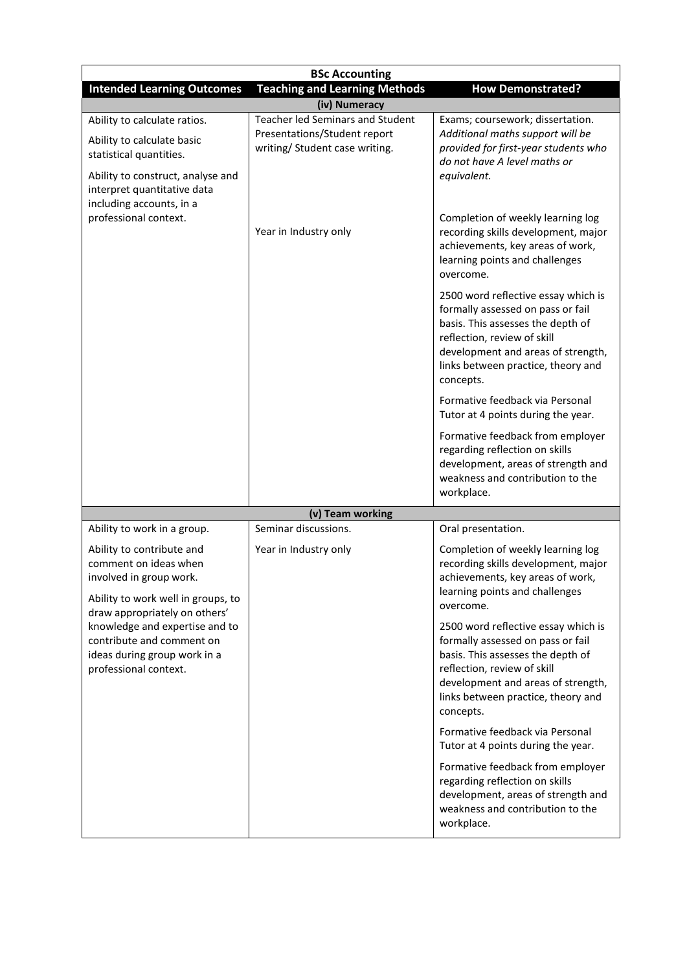| <b>BSc Accounting</b>                                                                                                                                                                                          |                                                                                                           |                                                                                                                                                                                                                                       |  |
|----------------------------------------------------------------------------------------------------------------------------------------------------------------------------------------------------------------|-----------------------------------------------------------------------------------------------------------|---------------------------------------------------------------------------------------------------------------------------------------------------------------------------------------------------------------------------------------|--|
| <b>Intended Learning Outcomes</b>                                                                                                                                                                              | <b>Teaching and Learning Methods</b>                                                                      | <b>How Demonstrated?</b>                                                                                                                                                                                                              |  |
|                                                                                                                                                                                                                | (iv) Numeracy                                                                                             |                                                                                                                                                                                                                                       |  |
| Ability to calculate ratios.<br>Ability to calculate basic<br>statistical quantities.<br>Ability to construct, analyse and<br>interpret quantitative data<br>including accounts, in a<br>professional context. | <b>Teacher led Seminars and Student</b><br>Presentations/Student report<br>writing/ Student case writing. | Exams; coursework; dissertation.<br>Additional maths support will be<br>provided for first-year students who<br>do not have A level maths or<br>equivalent.                                                                           |  |
|                                                                                                                                                                                                                | Year in Industry only                                                                                     | Completion of weekly learning log<br>recording skills development, major<br>achievements, key areas of work,<br>learning points and challenges<br>overcome.                                                                           |  |
|                                                                                                                                                                                                                |                                                                                                           | 2500 word reflective essay which is<br>formally assessed on pass or fail<br>basis. This assesses the depth of<br>reflection, review of skill<br>development and areas of strength,<br>links between practice, theory and<br>concepts. |  |
|                                                                                                                                                                                                                |                                                                                                           | Formative feedback via Personal<br>Tutor at 4 points during the year.                                                                                                                                                                 |  |
|                                                                                                                                                                                                                |                                                                                                           | Formative feedback from employer<br>regarding reflection on skills<br>development, areas of strength and<br>weakness and contribution to the<br>workplace.                                                                            |  |
|                                                                                                                                                                                                                | (v) Team working                                                                                          |                                                                                                                                                                                                                                       |  |
| Ability to work in a group.                                                                                                                                                                                    | Seminar discussions.                                                                                      | Oral presentation.                                                                                                                                                                                                                    |  |
| Ability to contribute and<br>comment on ideas when<br>involved in group work.<br>Ability to work well in groups, to<br>draw appropriately on others'                                                           | Year in Industry only                                                                                     | Completion of weekly learning log<br>recording skills development, major<br>achievements, key areas of work,<br>learning points and challenges<br>overcome.                                                                           |  |
| knowledge and expertise and to<br>contribute and comment on<br>ideas during group work in a<br>professional context.                                                                                           |                                                                                                           | 2500 word reflective essay which is<br>formally assessed on pass or fail<br>basis. This assesses the depth of<br>reflection, review of skill<br>development and areas of strength,<br>links between practice, theory and<br>concepts. |  |
|                                                                                                                                                                                                                |                                                                                                           | Formative feedback via Personal<br>Tutor at 4 points during the year.                                                                                                                                                                 |  |
|                                                                                                                                                                                                                |                                                                                                           | Formative feedback from employer<br>regarding reflection on skills<br>development, areas of strength and<br>weakness and contribution to the<br>workplace.                                                                            |  |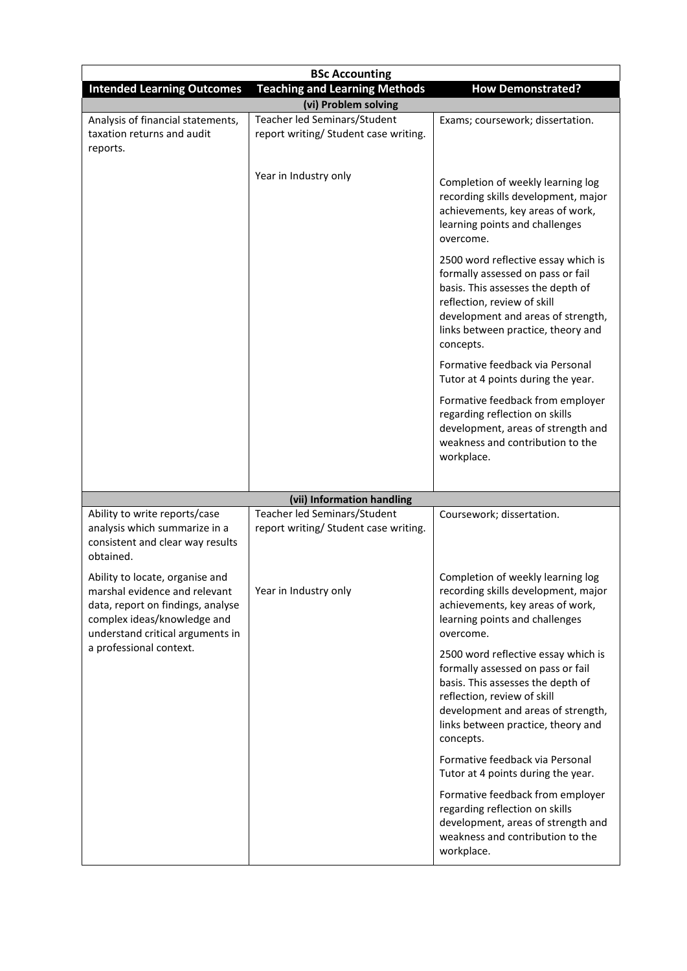|                                                                                                                                                                          | <b>BSc Accounting</b>                                                                                 |                                                                                                                                                                                                                                       |  |  |
|--------------------------------------------------------------------------------------------------------------------------------------------------------------------------|-------------------------------------------------------------------------------------------------------|---------------------------------------------------------------------------------------------------------------------------------------------------------------------------------------------------------------------------------------|--|--|
|                                                                                                                                                                          | <b>Teaching and Learning Methods</b><br><b>How Demonstrated?</b><br><b>Intended Learning Outcomes</b> |                                                                                                                                                                                                                                       |  |  |
| Analysis of financial statements,<br>taxation returns and audit<br>reports.                                                                                              | (vi) Problem solving<br>Teacher led Seminars/Student<br>report writing/ Student case writing.         | Exams; coursework; dissertation.                                                                                                                                                                                                      |  |  |
|                                                                                                                                                                          | Year in Industry only                                                                                 | Completion of weekly learning log<br>recording skills development, major<br>achievements, key areas of work,<br>learning points and challenges<br>overcome.                                                                           |  |  |
|                                                                                                                                                                          |                                                                                                       | 2500 word reflective essay which is<br>formally assessed on pass or fail<br>basis. This assesses the depth of<br>reflection, review of skill<br>development and areas of strength,<br>links between practice, theory and<br>concepts. |  |  |
|                                                                                                                                                                          |                                                                                                       | Formative feedback via Personal<br>Tutor at 4 points during the year.                                                                                                                                                                 |  |  |
|                                                                                                                                                                          |                                                                                                       | Formative feedback from employer<br>regarding reflection on skills<br>development, areas of strength and<br>weakness and contribution to the<br>workplace.                                                                            |  |  |
|                                                                                                                                                                          |                                                                                                       |                                                                                                                                                                                                                                       |  |  |
|                                                                                                                                                                          | (vii) Information handling                                                                            |                                                                                                                                                                                                                                       |  |  |
| Ability to write reports/case<br>analysis which summarize in a<br>consistent and clear way results<br>obtained.                                                          | Teacher led Seminars/Student<br>report writing/ Student case writing.                                 | Coursework; dissertation.                                                                                                                                                                                                             |  |  |
| Ability to locate, organise and<br>marshal evidence and relevant<br>data, report on findings, analyse<br>complex ideas/knowledge and<br>understand critical arguments in | Year in Industry only                                                                                 | Completion of weekly learning log<br>recording skills development, major<br>achievements, key areas of work,<br>learning points and challenges<br>overcome.                                                                           |  |  |
| a professional context.                                                                                                                                                  |                                                                                                       | 2500 word reflective essay which is<br>formally assessed on pass or fail<br>basis. This assesses the depth of<br>reflection, review of skill<br>development and areas of strength,<br>links between practice, theory and<br>concepts. |  |  |
|                                                                                                                                                                          |                                                                                                       | Formative feedback via Personal<br>Tutor at 4 points during the year.                                                                                                                                                                 |  |  |
|                                                                                                                                                                          |                                                                                                       | Formative feedback from employer<br>regarding reflection on skills<br>development, areas of strength and<br>weakness and contribution to the<br>workplace.                                                                            |  |  |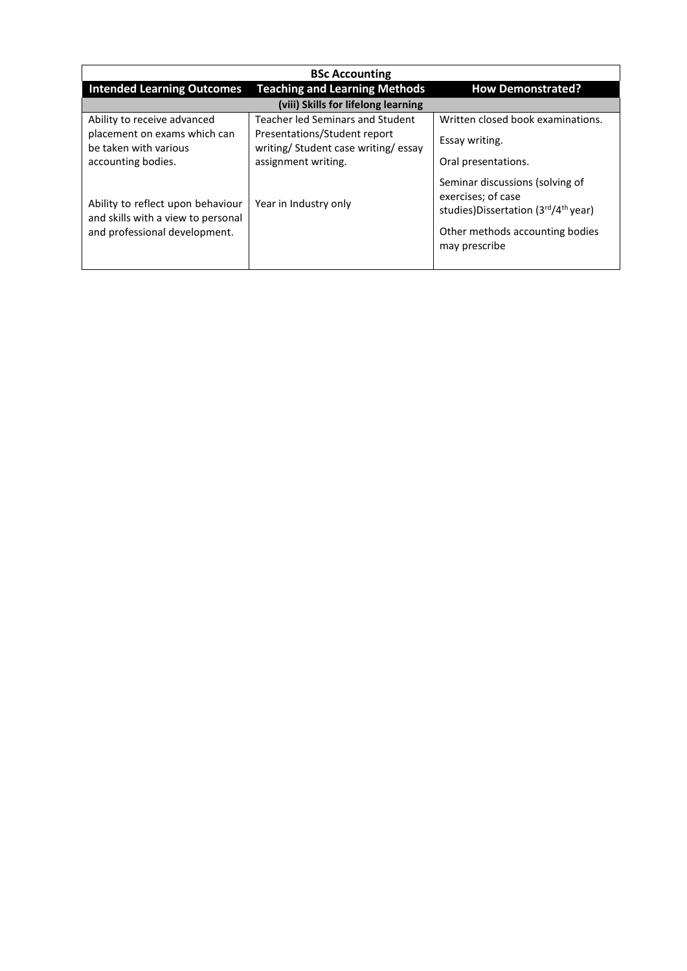| <b>BSc Accounting</b>                                                                                    |                                                                    |                                                                                                                                                              |  |
|----------------------------------------------------------------------------------------------------------|--------------------------------------------------------------------|--------------------------------------------------------------------------------------------------------------------------------------------------------------|--|
| <b>Intended Learning Outcomes</b>                                                                        | <b>Teaching and Learning Methods</b>                               | <b>How Demonstrated?</b>                                                                                                                                     |  |
|                                                                                                          | (viii) Skills for lifelong learning                                |                                                                                                                                                              |  |
| Ability to receive advanced                                                                              | Teacher led Seminars and Student                                   | Written closed book examinations.                                                                                                                            |  |
| placement on exams which can<br>be taken with various                                                    | Presentations/Student report<br>writing/Student case writing/essay | Essay writing.                                                                                                                                               |  |
| accounting bodies.                                                                                       | assignment writing.                                                | Oral presentations.                                                                                                                                          |  |
| Ability to reflect upon behaviour<br>and skills with a view to personal<br>and professional development. | Year in Industry only                                              | Seminar discussions (solving of<br>exercises; of case<br>studies)Dissertation (3rd/4 <sup>th</sup> year)<br>Other methods accounting bodies<br>may prescribe |  |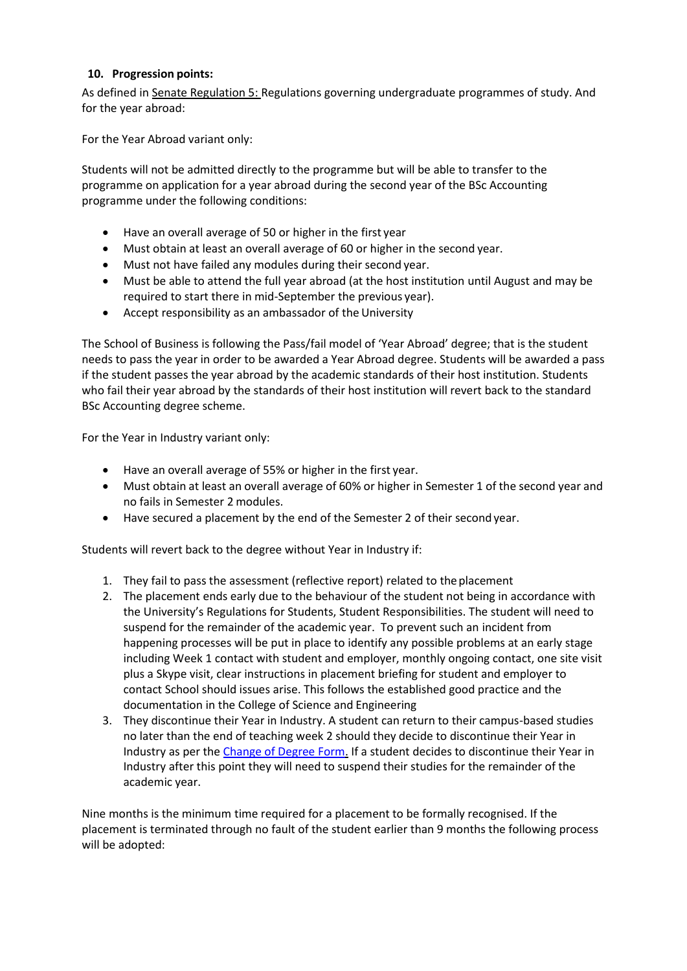#### **10. Progression points:**

As defined i[n Senate Regulation 5: R](http://www.le.ac.uk/senate-regulation5)egulations governing undergraduate programmes of study. And for the year abroad:

For the Year Abroad variant only:

Students will not be admitted directly to the programme but will be able to transfer to the programme on application for a year abroad during the second year of the BSc Accounting programme under the following conditions:

- Have an overall average of 50 or higher in the first year
- Must obtain at least an overall average of 60 or higher in the second year.
- Must not have failed any modules during their second year.
- Must be able to attend the full year abroad (at the host institution until August and may be required to start there in mid-September the previous year).
- Accept responsibility as an ambassador of the University

The School of Business is following the Pass/fail model of 'Year Abroad' degree; that is the student needs to pass the year in order to be awarded a Year Abroad degree. Students will be awarded a pass if the student passes the year abroad by the academic standards of their host institution. Students who fail their year abroad by the standards of their host institution will revert back to the standard BSc Accounting degree scheme.

For the Year in Industry variant only:

- Have an overall average of 55% or higher in the first year.
- Must obtain at least an overall average of 60% or higher in Semester 1 of the second year and no fails in Semester 2 modules.
- Have secured a placement by the end of the Semester 2 of their secondyear.

Students will revert back to the degree without Year in Industry if:

- 1. They fail to pass the assessment (reflective report) related to theplacement
- 2. The placement ends early due to the behaviour of the student not being in accordance with the University's Regulations for Students, Student Responsibilities. The student will need to suspend for the remainder of the academic year. To prevent such an incident from happening processes will be put in place to identify any possible problems at an early stage including Week 1 contact with student and employer, monthly ongoing contact, one site visit plus a Skype visit, clear instructions in placement briefing for student and employer to contact School should issues arise. This follows the established good practice and the documentation in the College of Science and Engineering
- 3. They discontinue their Year in Industry. A student can return to their campus-based studies no later than the end of teaching week 2 should they decide to discontinue their Year in Industry as per th[e Change of Degree Form.](http://www2.le.ac.uk/offices/sas2/studentrecord/documents/changeofdegreeform.pdf/view) If a student decides to discontinue their Year in Industry after this point they will need to suspend their studies for the remainder of the academic year.

Nine months is the minimum time required for a placement to be formally recognised. If the placement is terminated through no fault of the student earlier than 9 months the following process will be adopted: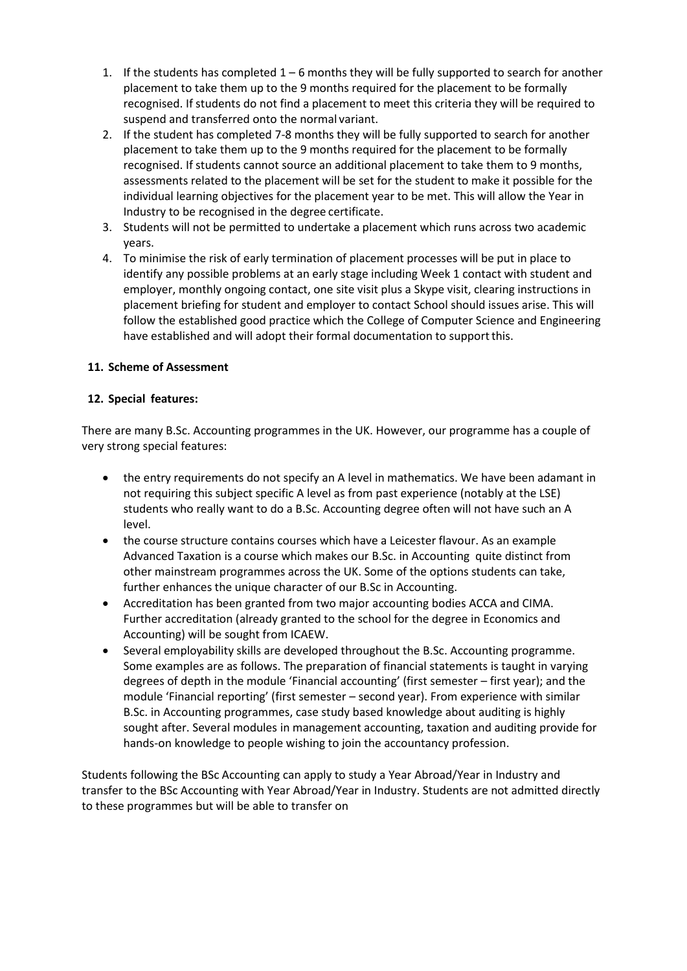- 1. If the students has completed  $1-6$  months they will be fully supported to search for another placement to take them up to the 9 months required for the placement to be formally recognised. If students do not find a placement to meet this criteria they will be required to suspend and transferred onto the normal variant.
- 2. If the student has completed 7-8 months they will be fully supported to search for another placement to take them up to the 9 months required for the placement to be formally recognised. If students cannot source an additional placement to take them to 9 months, assessments related to the placement will be set for the student to make it possible for the individual learning objectives for the placement year to be met. This will allow the Year in Industry to be recognised in the degree certificate.
- 3. Students will not be permitted to undertake a placement which runs across two academic years.
- 4. To minimise the risk of early termination of placement processes will be put in place to identify any possible problems at an early stage including Week 1 contact with student and employer, monthly ongoing contact, one site visit plus a Skype visit, clearing instructions in placement briefing for student and employer to contact School should issues arise. This will follow the established good practice which the College of Computer Science and Engineering have established and will adopt their formal documentation to support this.

## **11. Scheme of Assessment**

### **12. Special features:**

There are many B.Sc. Accounting programmes in the UK. However, our programme has a couple of very strong special features:

- the entry requirements do not specify an A level in mathematics. We have been adamant in not requiring this subject specific A level as from past experience (notably at the LSE) students who really want to do a B.Sc. Accounting degree often will not have such an A level.
- the course structure contains courses which have a Leicester flavour. As an example Advanced Taxation is a course which makes our B.Sc. in Accounting quite distinct from other mainstream programmes across the UK. Some of the options students can take, further enhances the unique character of our B.Sc in Accounting.
- Accreditation has been granted from two major accounting bodies ACCA and CIMA. Further accreditation (already granted to the school for the degree in Economics and Accounting) will be sought from ICAEW.
- Several employability skills are developed throughout the B.Sc. Accounting programme. Some examples are as follows. The preparation of financial statements is taught in varying degrees of depth in the module 'Financial accounting' (first semester – first year); and the module 'Financial reporting' (first semester – second year). From experience with similar B.Sc. in Accounting programmes, case study based knowledge about auditing is highly sought after. Several modules in management accounting, taxation and auditing provide for hands-on knowledge to people wishing to join the accountancy profession.

Students following the BSc Accounting can apply to study a Year Abroad/Year in Industry and transfer to the BSc Accounting with Year Abroad/Year in Industry. Students are not admitted directly to these programmes but will be able to transfer on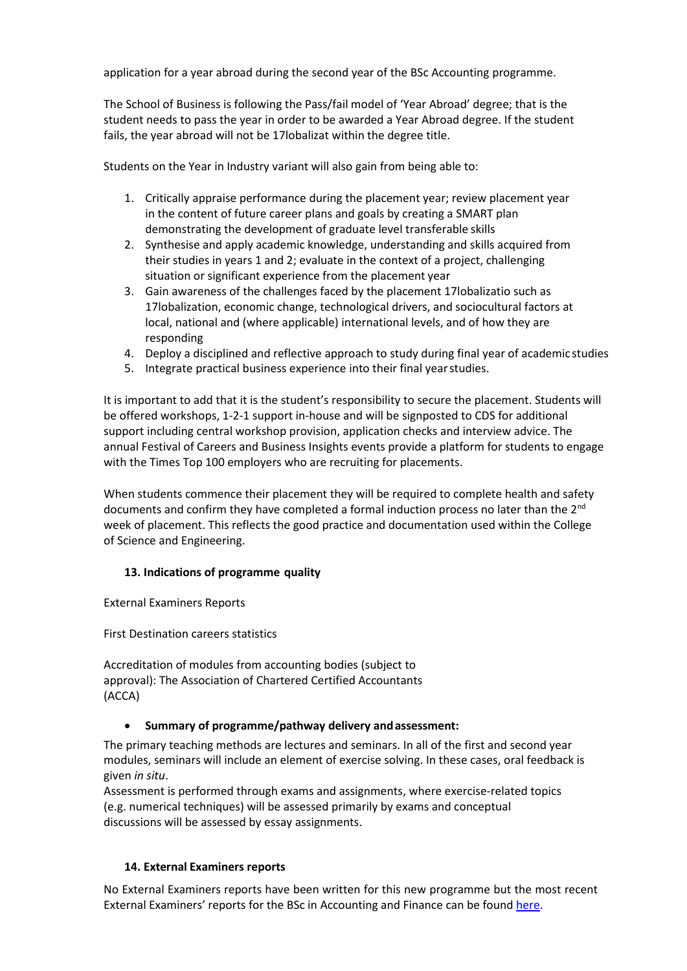application for a year abroad during the second year of the BSc Accounting programme.

The School of Business is following the Pass/fail model of 'Year Abroad' degree; that is the student needs to pass the year in order to be awarded a Year Abroad degree. If the student fails, the year abroad will not be 17lobalizat within the degree title.

Students on the Year in Industry variant will also gain from being able to:

- 1. Critically appraise performance during the placement year; review placement year in the content of future career plans and goals by creating a SMART plan demonstrating the development of graduate level transferable skills
- 2. Synthesise and apply academic knowledge, understanding and skills acquired from their studies in years 1 and 2; evaluate in the context of a project, challenging situation or significant experience from the placement year
- 3. Gain awareness of the challenges faced by the placement 17lobalizatio such as 17lobalization, economic change, technological drivers, and sociocultural factors at local, national and (where applicable) international levels, and of how they are responding
- 4. Deploy a disciplined and reflective approach to study during final year of academic studies
- 5. Integrate practical business experience into their final yearstudies.

It is important to add that it is the student's responsibility to secure the placement. Students will be offered workshops, 1-2-1 support in-house and will be signposted to CDS for additional support including central workshop provision, application checks and interview advice. The annual Festival of Careers and Business Insights events provide a platform for students to engage with the Times Top 100 employers who are recruiting for placements.

When students commence their placement they will be required to complete health and safety documents and confirm they have completed a formal induction process no later than the 2<sup>nd</sup> week of placement. This reflects the good practice and documentation used within the College of Science and Engineering.

### **13. Indications of programme quality**

External Examiners Reports

First Destination careers statistics

Accreditation of modules from accounting bodies (subject to approval): The Association of Chartered Certified Accountants (ACCA)

### **Summary of programme/pathway delivery andassessment:**

The primary teaching methods are lectures and seminars. In all of the first and second year modules, seminars will include an element of exercise solving. In these cases, oral feedback is given *in situ*.

Assessment is performed through exams and assignments, where exercise-related topics (e.g. numerical techniques) will be assessed primarily by exams and conceptual discussions will be assessed by essay assignments.

### **14. External Examiners reports**

No External Examiners reports have been written for this new programme but the most recent External Examiners' reports for the BSc in Accounting and Finance can be foun[d here.](https://exampapers.le.ac.uk/xmlui/handle/123456789/168)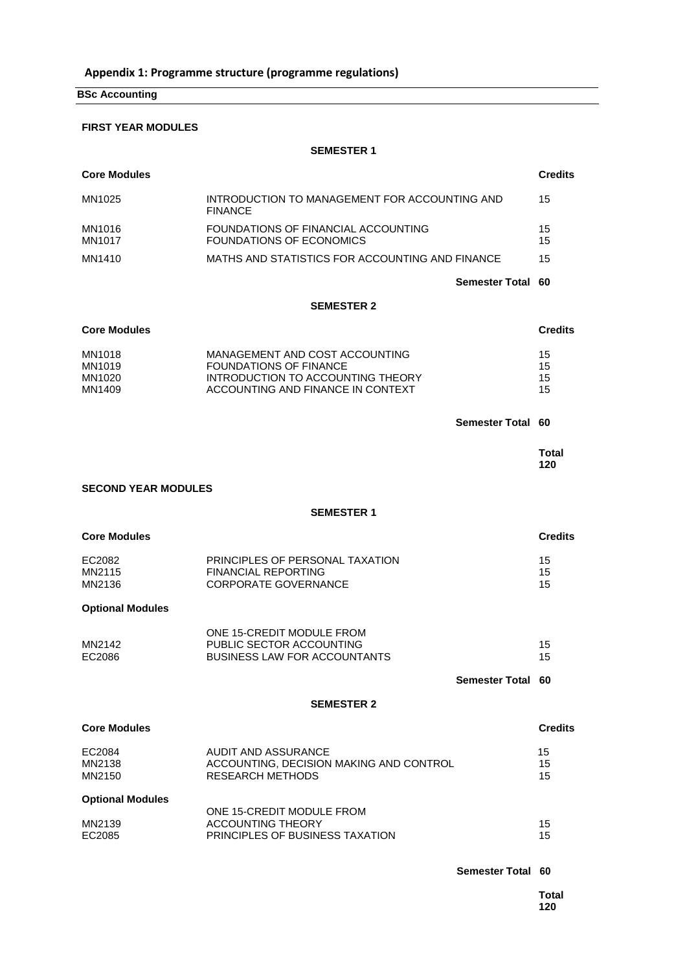**BSc Accounting**

#### **FIRST YEAR MODULES**

**SEMESTER 1**

| <b>Core Modules</b>                  |                                                                                                                                           |                       | <b>Credits</b>       |
|--------------------------------------|-------------------------------------------------------------------------------------------------------------------------------------------|-----------------------|----------------------|
| MN1025                               | INTRODUCTION TO MANAGEMENT FOR ACCOUNTING AND<br><b>FINANCE</b>                                                                           |                       | 15                   |
| MN1016<br>MN1017                     | FOUNDATIONS OF FINANCIAL ACCOUNTING<br>FOUNDATIONS OF ECONOMICS                                                                           |                       | 15<br>15             |
| MN1410                               | MATHS AND STATISTICS FOR ACCOUNTING AND FINANCE                                                                                           |                       | 15                   |
|                                      |                                                                                                                                           | <b>Semester Total</b> | 60                   |
|                                      | <b>SEMESTER 2</b>                                                                                                                         |                       |                      |
| <b>Core Modules</b>                  |                                                                                                                                           |                       | <b>Credits</b>       |
| MN1018<br>MN1019<br>MN1020<br>MN1409 | MANAGEMENT AND COST ACCOUNTING<br><b>FOUNDATIONS OF FINANCE</b><br>INTRODUCTION TO ACCOUNTING THEORY<br>ACCOUNTING AND FINANCE IN CONTEXT |                       | 15<br>15<br>15<br>15 |
|                                      |                                                                                                                                           | Semester Total 60     |                      |
|                                      |                                                                                                                                           |                       | Total<br>120         |
| <b>SECOND YEAR MODULES</b>           |                                                                                                                                           |                       |                      |
|                                      | <b>SEMESTER 1</b>                                                                                                                         |                       |                      |
| <b>Core Modules</b>                  |                                                                                                                                           |                       | <b>Credits</b>       |
| EC2082<br>MN2115<br>MN2136           | PRINCIPLES OF PERSONAL TAXATION<br><b>FINANCIAL REPORTING</b><br><b>CORPORATE GOVERNANCE</b>                                              |                       | 15<br>15<br>15       |
| <b>Optional Modules</b>              |                                                                                                                                           |                       |                      |
| MN2142<br>EC2086                     | ONE 15-CREDIT MODULE FROM<br>PUBLIC SECTOR ACCOUNTING<br><b>BUSINESS LAW FOR ACCOUNTANTS</b>                                              |                       | 15<br>15             |
|                                      |                                                                                                                                           | <b>Semester Total</b> | 60                   |
|                                      | <b>SEMESTER 2</b>                                                                                                                         |                       |                      |
| <b>Core Modules</b>                  |                                                                                                                                           |                       | <b>Credits</b>       |
| EC2084<br>MN2138<br>MN2150           | AUDIT AND ASSURANCE<br>ACCOUNTING. DECISION MAKING AND CONTROL<br><b>RESEARCH METHODS</b>                                                 |                       | 15<br>15<br>15       |
| <b>Optional Modules</b>              | ONE 15-CREDIT MODULE FROM                                                                                                                 |                       |                      |
| MN2139<br>EC2085                     | <b>ACCOUNTING THEORY</b><br>PRINCIPLES OF BUSINESS TAXATION                                                                               |                       | 15<br>15             |
|                                      |                                                                                                                                           | Semester Total 60     |                      |
|                                      |                                                                                                                                           |                       | <b>Total</b>         |

**120**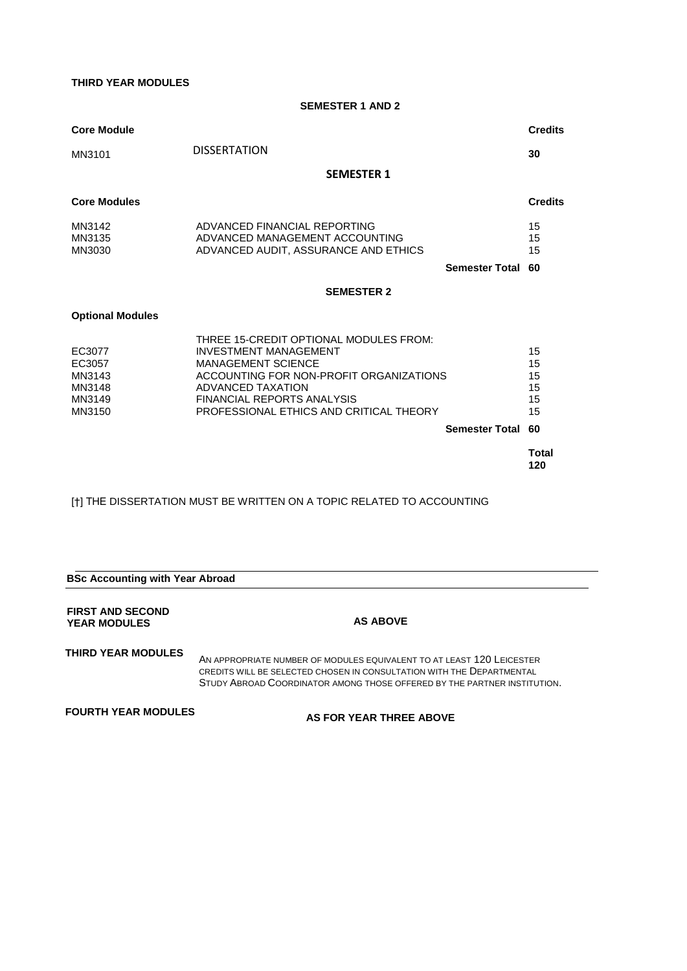**THIRD YEAR MODULES**

**SEMESTER 1 AND 2**

| <b>Core Module</b>                                       |                                                                                                                                                                                                                                                                              | <b>Credits</b>                         |
|----------------------------------------------------------|------------------------------------------------------------------------------------------------------------------------------------------------------------------------------------------------------------------------------------------------------------------------------|----------------------------------------|
| MN3101                                                   | <b>DISSERTATION</b>                                                                                                                                                                                                                                                          | 30                                     |
|                                                          | <b>SEMESTER 1</b>                                                                                                                                                                                                                                                            |                                        |
| <b>Core Modules</b>                                      |                                                                                                                                                                                                                                                                              | <b>Credits</b>                         |
| MN3142<br>MN3135<br>MN3030                               | ADVANCED FINANCIAL REPORTING<br>ADVANCED MANAGEMENT ACCOUNTING<br>ADVANCED AUDIT, ASSURANCE AND ETHICS<br><b>Semester Total</b>                                                                                                                                              | 15<br>15<br>15<br>60                   |
|                                                          | <b>SEMESTER 2</b>                                                                                                                                                                                                                                                            |                                        |
| <b>Optional Modules</b>                                  |                                                                                                                                                                                                                                                                              |                                        |
| EC3077<br>EC3057<br>MN3143<br>MN3148<br>MN3149<br>MN3150 | THREE 15-CREDIT OPTIONAL MODULES FROM:<br><b>INVESTMENT MANAGEMENT</b><br><b>MANAGEMENT SCIENCE</b><br>ACCOUNTING FOR NON-PROFIT ORGANIZATIONS<br>ADVANCED TAXATION<br><b>FINANCIAL REPORTS ANALYSIS</b><br>PROFESSIONAL ETHICS AND CRITICAL THEORY<br><b>Semester Total</b> | 15<br>15<br>15<br>15<br>15<br>15<br>60 |
|                                                          |                                                                                                                                                                                                                                                                              | <b>Total</b>                           |
|                                                          |                                                                                                                                                                                                                                                                              | 120                                    |

[†] THE DISSERTATION MUST BE WRITTEN ON A TOPIC RELATED TO ACCOUNTING

| <b>BSc Accounting with Year Abroad</b>         |                                                                                                                                                                                                                            |  |  |  |  |  |  |  |  |  |  |  |
|------------------------------------------------|----------------------------------------------------------------------------------------------------------------------------------------------------------------------------------------------------------------------------|--|--|--|--|--|--|--|--|--|--|--|
| <b>FIRST AND SECOND</b><br><b>YEAR MODULES</b> | <b>AS ABOVE</b>                                                                                                                                                                                                            |  |  |  |  |  |  |  |  |  |  |  |
| <b>THIRD YEAR MODULES</b>                      | AN APPROPRIATE NUMBER OF MODULES EQUIVALENT TO AT LEAST 120 LEICESTER<br>CREDITS WILL BE SELECTED CHOSEN IN CONSULTATION WITH THE DEPARTMENTAL<br>STUDY ABROAD COORDINATOR AMONG THOSE OFFERED BY THE PARTNER INSTITUTION. |  |  |  |  |  |  |  |  |  |  |  |

**FOURTH YEAR MODULES AS FOR YEAR THREE ABOVE**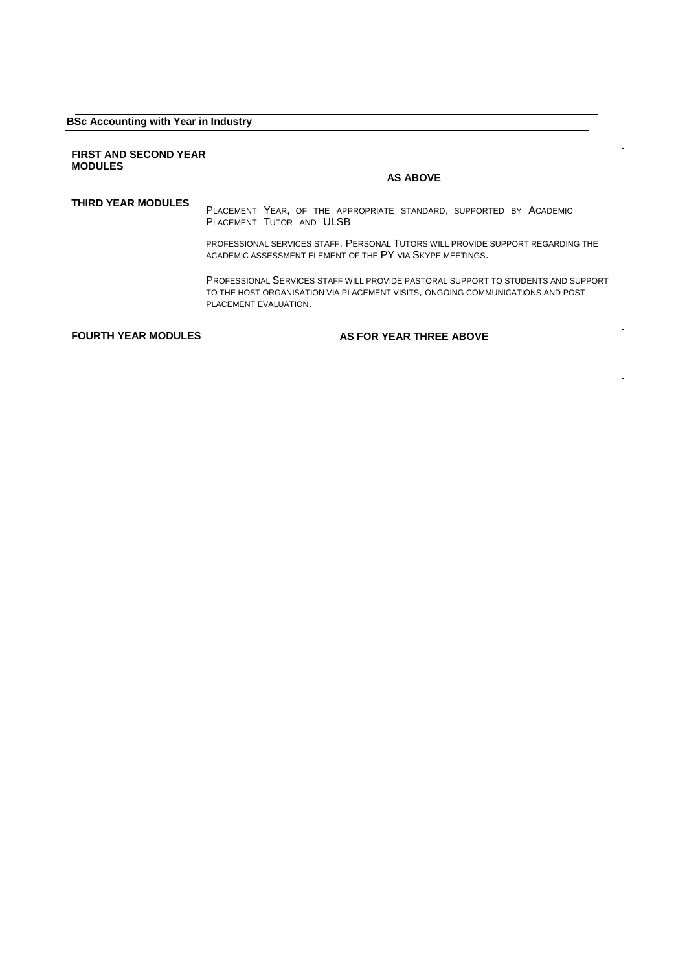#### **BSc Accounting with Year in Industry**

#### **FIRST AND SECOND YEAR MODULES**

#### **AS ABOVE**

**THIRD YEAR MODULES** <sup>P</sup>LACEMENT YEAR, OF THE APPROPRIATE STANDARD, SUPPORTED BY ACADEMIC PLACEMENT TUTOR AND ULSB

> PROFESSIONAL SERVICES STAFF. PERSONAL TUTORS WILL PROVIDE SUPPORT REGARDING THE ACADEMIC ASSESSMENT ELEMENT OF THE PY VIA SKYPE MEETINGS.

PROFESSIONAL SERVICES STAFF WILL PROVIDE PASTORAL SUPPORT TO STUDENTS AND SUPPORT TO THE HOST ORGANISATION VIA PLACEMENT VISITS, ONGOING COMMUNICATIONS AND POST PLACEMENT EVALUATION.

**FOURTH YEAR MODULES AS FOR YEAR THREE ABOVE**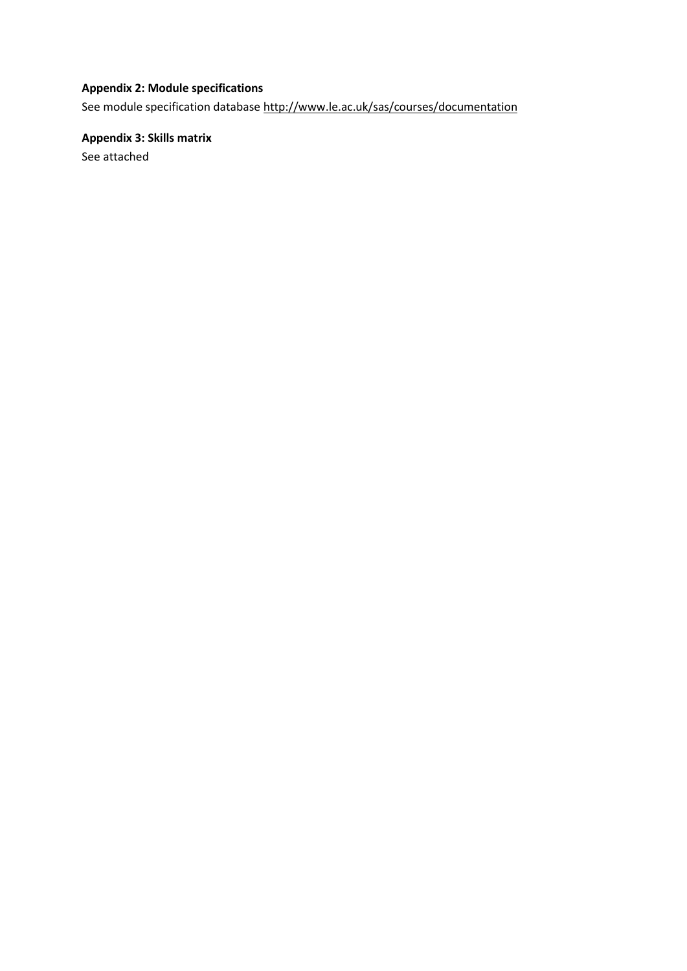## **Appendix 2: Module specifications**

See module specification database<http://www.le.ac.uk/sas/courses/documentation>

**Appendix 3: Skills matrix** See attached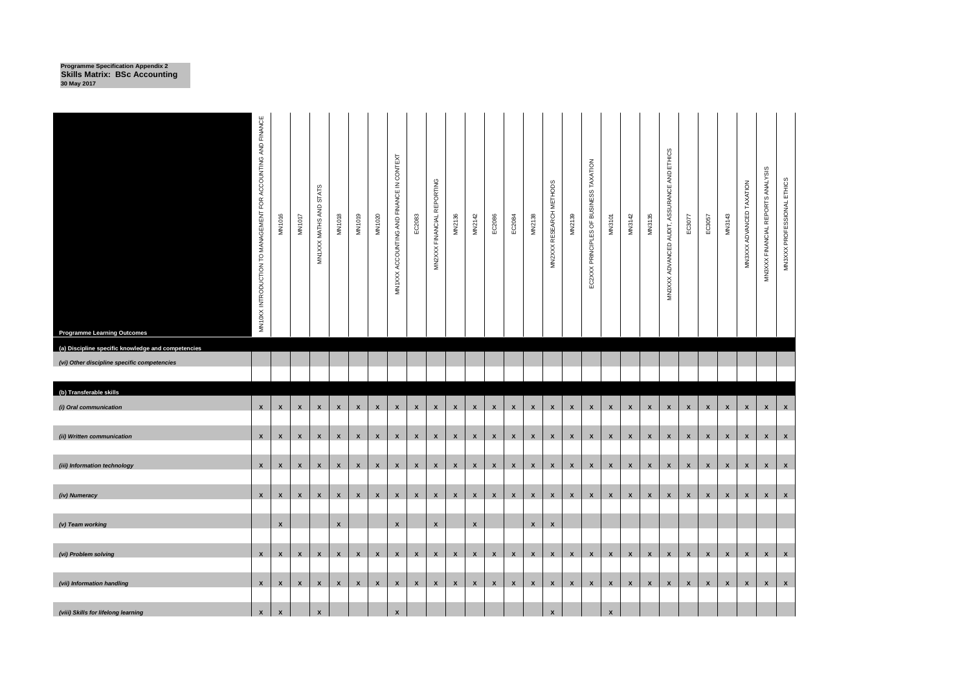**Programme Specification Appendix 2 Skills Matrix: BSc Accounting 30 May 2017**

| <b>Programme Learning Outcomes</b>                                                                | MN10XX INTRODUCTION TO MANAGEMENT FOR ACCOUNTING AND FINANCE | MN1016             | <b>MN1017</b>      | <b>STATS</b><br>MN1XXX MATHS AND | MN1018             | MN1019             | MN1020             | MN1XXX ACCOUNTING AND FINANCE IN CONTEXT | EC2083       | MN2XXX FINANCIAL REPORTING | MN2136             | MN2142             | EC2086       | EC2084       | MN2138             | MN2XXX RESEARCH METHODS | MN2139             | EC2XXX PRINCIPLES OF BUSINESS TAXATION | <b>MN3101</b>      | MN3142       | MN3135             | MN3XXX ADVANCED AUDIT, ASSURANCE AND ETHICS | EC3077             | EC3057             | MN3143             | MN3XXX ADVANCED TAXATION | MN3XXX FINANCIAL REPORTS ANALYSIS | MN3XXX PROFESSIONAL ETHICS |
|---------------------------------------------------------------------------------------------------|--------------------------------------------------------------|--------------------|--------------------|----------------------------------|--------------------|--------------------|--------------------|------------------------------------------|--------------|----------------------------|--------------------|--------------------|--------------|--------------|--------------------|-------------------------|--------------------|----------------------------------------|--------------------|--------------|--------------------|---------------------------------------------|--------------------|--------------------|--------------------|--------------------------|-----------------------------------|----------------------------|
| (a) Discipline specific knowledge and competencies<br>(vi) Other discipline specific competencies |                                                              |                    |                    |                                  |                    |                    |                    |                                          |              |                            |                    |                    |              |              |                    |                         |                    |                                        |                    |              |                    |                                             |                    |                    |                    |                          |                                   |                            |
|                                                                                                   |                                                              |                    |                    |                                  |                    |                    |                    |                                          |              |                            |                    |                    |              |              |                    |                         |                    |                                        |                    |              |                    |                                             |                    |                    |                    |                          |                                   |                            |
| (b) Transferable skills                                                                           |                                                              |                    |                    |                                  |                    |                    |                    |                                          |              |                            |                    |                    |              |              |                    |                         |                    |                                        |                    |              |                    |                                             |                    |                    |                    |                          |                                   |                            |
| (i) Oral communication                                                                            | $\mathsf{x}$                                                 | $\pmb{\mathsf{x}}$ | $\pmb{\mathsf{x}}$ | $\pmb{\mathsf{x}}$               | $\pmb{\mathsf{x}}$ | $\pmb{\mathsf{x}}$ | $\pmb{\mathsf{x}}$ | $\pmb{\mathsf{x}}$                       | $\mathbf{x}$ | $\pmb{\mathsf{x}}$         | $\pmb{\mathsf{x}}$ | $\pmb{\mathsf{x}}$ | $\pmb{\chi}$ | $\pmb{\chi}$ | $\pmb{\mathsf{x}}$ | $\pmb{\chi}$            | $\pmb{\mathsf{x}}$ | $\pmb{\mathsf{x}}$                     | $\mathbf{x}$       | $\mathbf{x}$ | $\pmb{\mathsf{x}}$ | $\pmb{\mathsf{x}}$                          | $\pmb{\mathsf{x}}$ | $\pmb{\mathsf{x}}$ | $\mathbf{x}$       | $\pmb{\mathsf{x}}$       | $\pmb{\mathsf{x}}$                | $\mathbf{x}$               |
| (ii) Written communication                                                                        | $\mathsf{x}$                                                 | $\boldsymbol{x}$   | X                  | X                                | X                  | $\mathbf{x}$       | $\pmb{\chi}$       | $\pmb{\mathsf{x}}$                       | $\pmb{\chi}$ | $\pmb{\mathsf{x}}$         | $\mathbf{x}$       | $\pmb{\mathsf{x}}$ | $\mathbf{x}$ | $\mathbf{x}$ | $\mathsf{x}$       | $\pmb{\chi}$            | $\mathbf{x}$       | $\mathbf{x}$                           | $\mathbf{x}$       | $\mathbf{x}$ | $\pmb{\mathsf{x}}$ | X                                           | $\pmb{\mathsf{x}}$ | $\mathbf{x}$       | $\mathbf{x}$       | $\mathsf{x}$             | $\mathsf{x}$                      | $\mathbf{x}$               |
| (iii) Information technology                                                                      | $\mathbf{x}$                                                 | $\mathsf{x}$       | $\mathbf{x}$       | $\mathbf{x}$                     | $\mathbf{x}$       | $\mathbf{x}$       | $\mathbf{x}$       | $\mathbf{x}$                             | $\mathbf{x}$ | $\mathbf{x}$               | $\mathsf{x}$       | $\mathbf{x}$       | $\mathbf{x}$ | $\mathbf{x}$ | $\mathbf{x}$       | $\mathbf{x}$            | $\mathbf{x}$       | $\mathbf{x}$                           | $\mathbf{x}$       | x            | $\mathbf{x}$       | $\mathbf{x}$                                | $\mathbf{x}$       | $\mathbf{x}$       | $\mathbf{x}$       | $\mathbf{x}$             | $\mathbf{x}$                      | $\mathbf{x}$               |
| (iv) Numeracy                                                                                     | $\mathbf{x}$                                                 | $\mathbf{x}$       | $\mathbf{x}$       | $\mathbf{x}$                     | $\mathbf{x}$       | $\mathbf{x}$       | $\mathbf{x}$       | $\mathbf{x}$                             | $\mathbf{x}$ | $\mathbf{x}$               | $\mathbf{x}$       | $\mathbf{x}$       | $\mathbf{x}$ | $\mathbf{x}$ |                    | $x \mid x$              | $\mathbf{x}$       | $\mathbf{x}$                           | x                  | $\mathbf{x}$ | $\mathsf{x}$       | $\mathbf{x}$                                | $\mathbf{x}$       | $\mathbf{x}$       | $\mathbf{x}$       | $\mathbf{x}$             | $\mathbf{x}$                      | $\mathbf{x}$               |
| (v) Team working                                                                                  |                                                              | $\pmb{\mathsf{x}}$ |                    |                                  | $\pmb{\chi}$       |                    |                    | $\pmb{\mathsf{x}}$                       |              | $\pmb{\mathsf{x}}$         |                    | $\pmb{\mathsf{x}}$ |              |              | $\mathbf x$        | $\pmb{\mathsf{x}}$      |                    |                                        |                    |              |                    |                                             |                    |                    |                    |                          |                                   |                            |
| (vi) Problem solving                                                                              | $\mathbf{x}$                                                 | $\mathbf{x}$       | $\mathbf{x}$       | $\mathbf{x}$                     | $\mathbf{x}$       | $\mathbf{x}$       | $\pmb{\mathsf{x}}$ | $\mathbf{x}$                             | $\mathbf{x}$ | $\mathbf{x}$               | $\mathbf{x}$       | $\pmb{\mathsf{x}}$ | $\mathbf{x}$ | $\mathbf{x}$ | $\mathbf{x}$       | $\mathbf{x}$            | $\mathbf{x}$       | $\mathbf{x}$                           | $\mathbf{x}$       | $\mathbf{x}$ | $\mathbf{x}$       | $\mathsf{x}$                                | $\mathbf{x}$       | $\mathbf{x}$       | $\pmb{\mathsf{x}}$ | $\pmb{\mathsf{x}}$       | $\pmb{\mathsf{X}}$                | $\mathbf{x}$               |
| (vii) Information handling                                                                        | $\mathsf{x}$                                                 | $\mathbf{x}$       | $\pmb{\chi}$       | $\mathbf{x}$                     | $\mathbf{x}$       | $\mathbf{x}$       | $\mathbf{x}$       | $\mathbf{x}$                             | $\mathbf{x}$ | $\mathbf{x}$               | $\mathbf{x}$       | $\pmb{\chi}$       | $\mathbf{x}$ | $\mathbf{x}$ | $\mathbf{x}$       | $\mathbf{x}$            | $\mathbf{x}$       | $\mathbf{x}$                           | $\mathbf{x}$       | $\mathsf{x}$ | $\mathbf{x}$       | $\boldsymbol{x}$                            | $\mathbf{x}$       | $\mathbf{x}$       | $\mathbf{x}$       | $\mathbf{x}$             | $\boldsymbol{x}$                  | $\mathbf{x}$               |
| (viii) Skills for lifelong learning                                                               | $\pmb{\chi}$                                                 | $\pmb{\mathsf{x}}$ |                    | $\pmb{\mathsf{x}}$               |                    |                    |                    | $\pmb{\mathsf{x}}$                       |              |                            |                    |                    |              |              |                    | $\pmb{\chi}$            |                    |                                        | $\pmb{\mathsf{x}}$ |              |                    |                                             |                    |                    |                    |                          |                                   |                            |